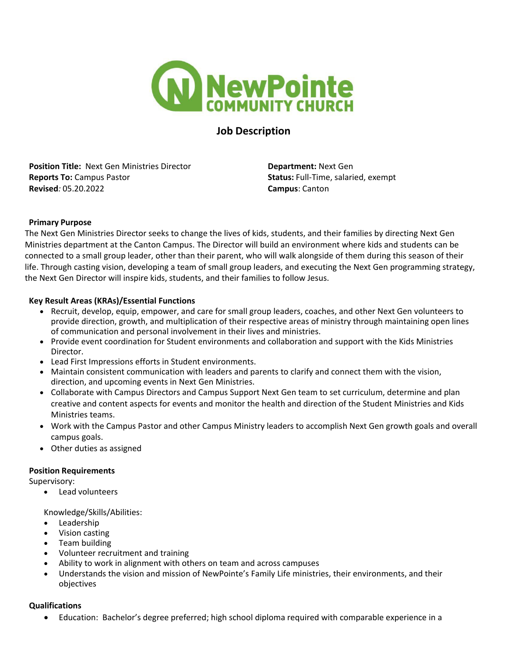

# **Job Description**

**Position Title: Next Gen Ministries Director <b>Department: Next Gen Reports To:** Campus Pastor **Status:** Full-Time, salaried, exempt **Revised***:* 05.20.2022 **Campus**: Canton

# **Primary Purpose**

The Next Gen Ministries Director seeks to change the lives of kids, students, and their families by directing Next Gen Ministries department at the Canton Campus. The Director will build an environment where kids and students can be connected to a small group leader, other than their parent, who will walk alongside of them during this season of their life. Through casting vision, developing a team of small group leaders, and executing the Next Gen programming strategy, the Next Gen Director will inspire kids, students, and their families to follow Jesus.

## **Key Result Areas (KRAs)/Essential Functions**

- Recruit, develop, equip, empower, and care for small group leaders, coaches, and other Next Gen volunteers to provide direction, growth, and multiplication of their respective areas of ministry through maintaining open lines of communication and personal involvement in their lives and ministries.
- Provide event coordination for Student environments and collaboration and support with the Kids Ministries Director.
- Lead First Impressions efforts in Student environments.
- Maintain consistent communication with leaders and parents to clarify and connect them with the vision, direction, and upcoming events in Next Gen Ministries.
- Collaborate with Campus Directors and Campus Support Next Gen team to set curriculum, determine and plan creative and content aspects for events and monitor the health and direction of the Student Ministries and Kids Ministries teams.
- Work with the Campus Pastor and other Campus Ministry leaders to accomplish Next Gen growth goals and overall campus goals.
- Other duties as assigned

#### **Position Requirements**

Supervisory:

• Lead volunteers

Knowledge/Skills/Abilities:

- Leadership
- Vision casting
- Team building
- Volunteer recruitment and training
- Ability to work in alignment with others on team and across campuses
- Understands the vision and mission of NewPointe's Family Life ministries, their environments, and their objectives

#### **Qualifications**

• Education: Bachelor's degree preferred; high school diploma required with comparable experience in a